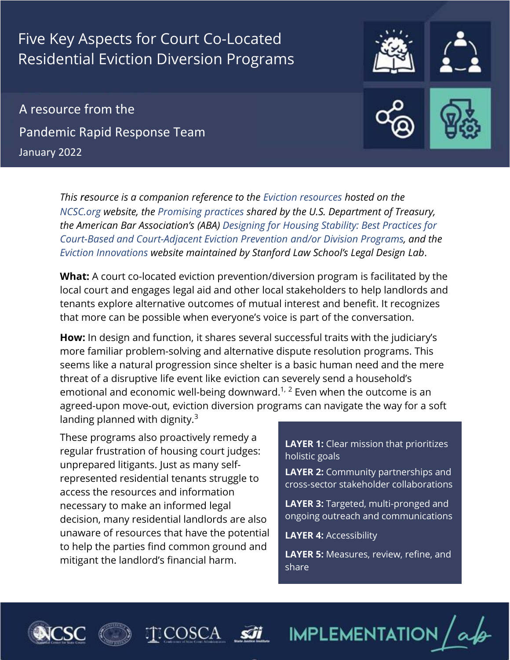# Five Key Aspects for Court Co-Located Residential Eviction Diversion Programs

A resource from the Pandemic Rapid Response Team January 2022

> *This resource is a companion reference to the [Eviction resources](https://www.ncsc.org/newsroom/public-health-emergency/implementation-lab/eviction-resources) hosted on th[e](https://www.ncsc.org/)  NCSC.org w[ebsite, the Promising](https://perma.cc/U65K-9H9J) practices shared by the U.S. Department of Treasury, the American Bar Association's ([ABA\) Designing for Housing Stability: Best Practices for](https://perma.cc/9PW8-92Z2)  [Court-Based and Court-Adjacent Eviction Prevention and/or Division Programs,](https://perma.cc/9PW8-92Z2) and the [Eviction Innovations](https://evictioninnovation.org/innovations/eviction-diversion-programs/) website maintained by Stanford Law School's Legal Design Lab*.

**What:** A court co-located eviction prevention/diversion program is facilitated by the local court and engages legal aid and other local stakeholders to help landlords and tenants explore alternative outcomes of mutual interest and benefit. It recognizes that more can be possible when everyone's voice is part of the conversation.

**How:** In design and function, it shares several successful traits with the judiciary's more familiar problem-solving and alternative dispute resolution programs. This seems like a natural progression since shelter is a basic human need and the mere threat of a disruptive life event like eviction can severely send a household's emotional and economic well-being downward.<sup>1, 2</sup> Even when the outcome is an agreed-upon move-out, eviction diversion programs can navigate the way for a soft landing planned with dignity. $3$ 

These programs also proactively remedy a regular frustration of housing court judges: unprepared litigants. Just as many selfrepresented residential tenants struggle to access the resources and information necessary to make an informed legal decision, many residential landlords are also unaware of resources that have the potential to help the parties find common ground and mitigant the landlord's financial harm.

**LAYER 1:** Clear mission that prioritizes holistic goals

**LAYER 2:** Community partnerships and cross-sector stakeholder collaborations

**LAYER 3:** Targeted, multi-pronged and ongoing outreach and communications

**LAYER 4:** Accessibility

**LAYER 5:** Measures, review, refine, and share







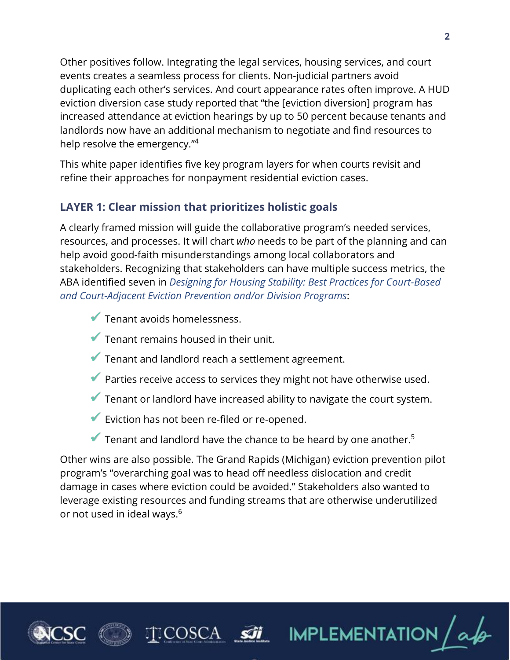Other positives follow. Integrating the legal services, housing services, and court events creates a seamless process for clients. Non-judicial partners avoid duplicating each other's services. And court appearance rates often improve. A HUD eviction diversion case study reported that "the [eviction diversion] program has increased attendance at eviction hearings by up to 50 percent because tenants and landlords now have an additional mechanism to negotiate and find resources to help resolve the emergency."<sup>4</sup>

This white paper identifies five key program layers for when courts revisit and refine their approaches for nonpayment residential eviction cases.

## **LAYER 1: Clear mission that prioritizes holistic goals**

A clearly framed mission will guide the collaborative program's needed services, resources, and processes. It will chart *who* needs to be part of the planning and can help avoid good-faith misunderstandings among local collaborators and stakeholders. Recognizing that stakeholders can have multiple success metrics, the ABA identified seven in *[Designing for Housing Stability: Best Practices for Court-Based](https://perma.cc/9PW8-92Z2)  [and Court-Adjacent Eviction Prevention and/or](https://perma.cc/9PW8-92Z2) Division Programs*:

- $\blacktriangledown$  Tenant avoids homelessness.
- Tenant remains housed in their unit.
- $\blacktriangledown$  Tenant and landlord reach a settlement agreement.
- Parties receive access to services they might not have otherwise used.
- ✓ Tenant or landlord have increased ability to navigate the court system.
- Eviction has not been re-filed or re-opened.
- $\blacktriangledown$  Tenant and landlord have the chance to be heard by one another.<sup>5</sup>

Other wins are also possible. The Grand Rapids (Michigan) eviction prevention pilot program's "overarching goal was to head off needless dislocation and credit damage in cases where eviction could be avoided." Stakeholders also wanted to leverage existing resources and funding streams that are otherwise underutilized or not used in ideal ways. 6





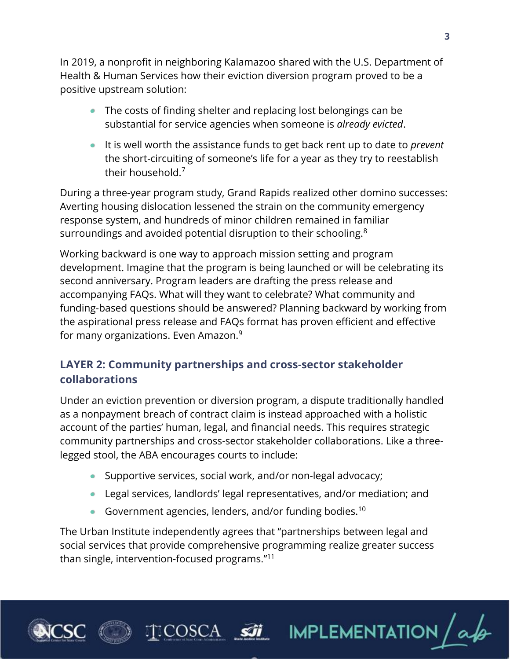In 2019, a nonprofit in neighboring Kalamazoo shared with the U.S. Department of Health & Human Services how their eviction diversion program proved to be a positive upstream solution:

- The costs of finding shelter and replacing lost belongings can be substantial for service agencies when someone is *already evicted*.
- It is well worth the assistance funds to get back rent up to date to *prevent* the short-circuiting of someone's life for a year as they try to reestablish their household. 7

During a three-year program study, Grand Rapids realized other domino successes: Averting housing dislocation lessened the strain on the community emergency response system, and hundreds of minor children remained in familiar surroundings and avoided potential disruption to their schooling.<sup>8</sup>

Working backward is one way to approach mission setting and program development. Imagine that the program is being launched or will be celebrating its second anniversary. Program leaders are drafting the press release and accompanying FAQs. What will they want to celebrate? What community and funding-based questions should be answered? Planning backward by working from the aspirational press release and FAQs format has proven efficient and effective for many organizations. Even Amazon.<sup>9</sup>

## **LAYER 2: Community partnerships and cross-sector stakeholder collaborations**

Under an eviction prevention or diversion program, a dispute traditionally handled as a nonpayment breach of contract claim is instead approached with a holistic account of the parties' human, legal, and financial needs. This requires strategic community partnerships and cross-sector stakeholder collaborations. Like a threelegged stool, the ABA encourages courts to include:

- Supportive services, social work, and/or non-legal advocacy;
- Legal services, landlords' legal representatives, and/or mediation; and

IMPLEMENTATION

Government agencies, lenders, and/or funding bodies.<sup>10</sup>

)SCA

The Urban Institute independently agrees that "partnerships between legal and social services that provide comprehensive programming realize greater success than single, intervention-focused programs."<sup>11</sup>



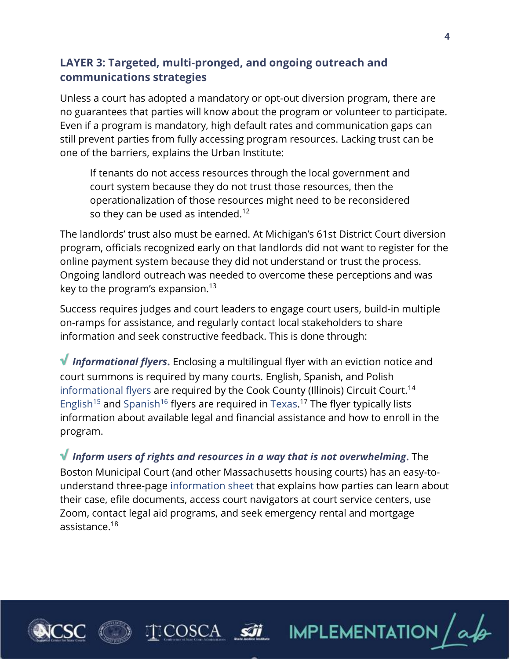## **LAYER 3: Targeted, multi-pronged, and ongoing outreach and communications strategies**

Unless a court has adopted a mandatory or opt-out diversion program, there are no guarantees that parties will know about the program or volunteer to participate. Even if a program is mandatory, high default rates and communication gaps can still prevent parties from fully accessing program resources. Lacking trust can be one of the barriers, explains the Urban Institute:

If tenants do not access resources through the local government and court system because they do not trust those resources, then the operationalization of those resources might need to be reconsidered so they can be used as intended. $^{12}$ 

The landlords' trust also must be earned. At Michigan's 61st District Court diversion program, officials recognized early on that landlords did not want to register for the online payment system because they did not understand or trust the process. Ongoing landlord outreach was needed to overcome these perceptions and was key to the program's expansion. 13

Success requires judges and court leaders to engage court users, build-in multiple on-ramps for assistance, and regularly contact local stakeholders to share information and seek constructive feedback. This is done through:

**√** *Informational flyers***.** Enclosing a multilingual flyer with an eviction notice and court summons is required by many courts. English, Spanish, and Polish [informational flyers](https://perma.cc/E54H-LXYE) are required by the Cook County (Illinois) Circuit Court.<sup>14</sup> [English](https://perma.cc/85UQ-VMVY)<sup>15</sup> and [Spanish](https://perma.cc/T8D2-2BUF)<sup>16</sup> flyers are required in [Texas.](https://perma.cc/8ZG7-JAQD)<sup>17</sup> The flyer typically lists information about available legal and financial assistance and how to enroll in the program.

**√** *Inform users of rights and resources in a way that is not overwhelming***.** The Boston Municipal Court (and other Massachusetts housing courts) has an easy-tounderstand three-page [information sheet](https://perma.cc/P7TN-LGKU) that explains how parties can learn about their case, efile documents, access court navigators at court service centers, use Zoom, contact legal aid programs, and seek emergency rental and mortgage assistance.<sup>18</sup>

**ECOSCA SIL** IMPLEMENTATION



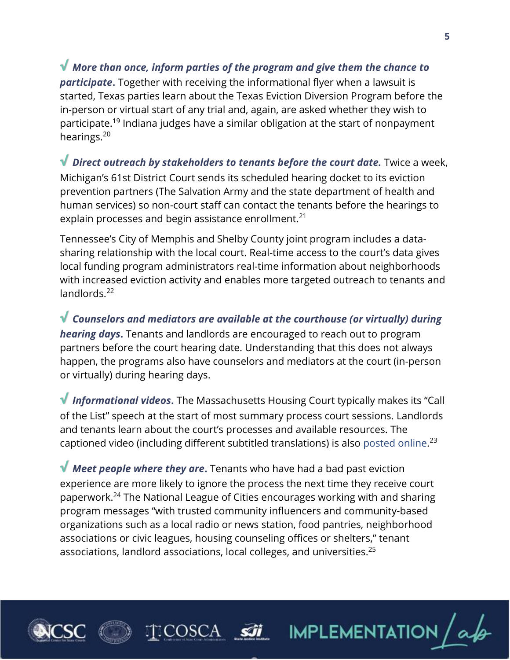**√** *More than once, inform parties of the program and give them the chance to participate***.** Together with receiving the informational flyer when a lawsuit is started, Texas parties learn about the Texas Eviction Diversion Program before the in-person or virtual start of any trial and, again, are asked whether they wish to participate.<sup>19</sup> Indiana judges have a similar obligation at the start of nonpayment hearings.<sup>20</sup>

**√** *Direct outreach by stakeholders to tenants before the court date.* Twice a week, Michigan's 61st District Court sends its scheduled hearing docket to its eviction prevention partners (The Salvation Army and the state department of health and human services) so non-court staff can contact the tenants before the hearings to explain processes and begin assistance enrollment.<sup>21</sup>

Tennessee's City of Memphis and Shelby County joint program includes a datasharing relationship with the local court. Real-time access to the court's data gives local funding program administrators real-time information about neighborhoods with increased eviction activity and enables more targeted outreach to tenants and landlords.<sup>22</sup>

**√** *Counselors and mediators are available at the courthouse (or virtually) during hearing days***.** Tenants and landlords are encouraged to reach out to program partners before the court hearing date. Understanding that this does not always happen, the programs also have counselors and mediators at the court (in-person or virtually) during hearing days.

**√** *Informational videos***.** The Massachusetts Housing Court typically makes its "Call of the List" speech at the start of most summary process court sessions. Landlords and tenants learn about the court's processes and available resources. The captioned video (including different subtitled translations) is also [posted](https://www.mass.gov/info-details/housing-court-call-of-the-list-speech) online.<sup>23</sup>

**√** *Meet people where they are*. Tenants who have had a bad past eviction experience are more likely to ignore the process the next time they receive court paperwork. <sup>24</sup> The National League of Cities encourages working with and sharing program messages "with trusted community influencers and community-based organizations such as a local radio or news station, food pantries, neighborhood associations or civic leagues, housing counseling offices or shelters," tenant associations, landlord associations, local colleges, and universities.<sup>25</sup>

)SCA



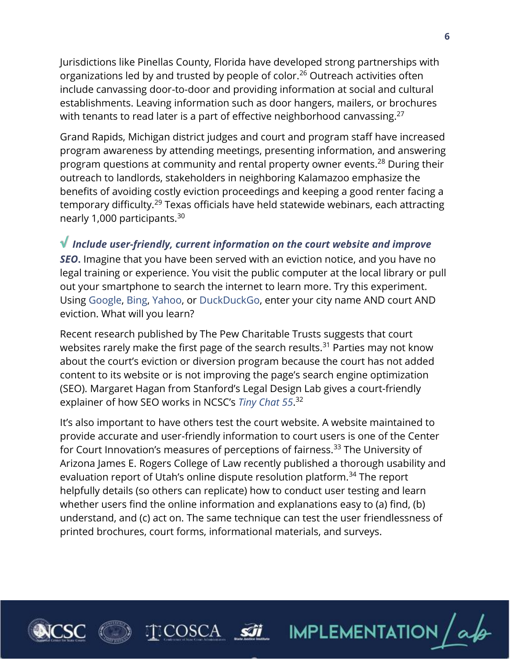Jurisdictions like Pinellas County, Florida have developed strong partnerships with organizations led by and trusted by people of color.<sup>26</sup> Outreach activities often include canvassing door-to-door and providing information at social and cultural establishments. Leaving information such as door hangers, mailers, or brochures with tenants to read later is a part of effective neighborhood canvassing. $27$ 

Grand Rapids, Michigan district judges and court and program staff have increased program awareness by attending meetings, presenting information, and answering program questions at community and rental property owner events.<sup>28</sup> During their outreach to landlords, stakeholders in neighboring Kalamazoo emphasize the benefits of avoiding costly eviction proceedings and keeping a good renter facing a temporary difficulty.<sup>29</sup> Texas officials have held statewide webinars, each attracting nearly 1,000 participants.<sup>30</sup>

#### **√** *Include user-friendly, current information on the court website and improve*

*SEO***.** Imagine that you have been served with an eviction notice, and you have no legal training or experience. You visit the public computer at the local library or pull out your smartphone to search the internet to learn more. Try this experiment. Using [Google,](https://www.google.com/) [Bing,](https://www.bing.com/) [Yahoo,](https://www.yahoo.com/) or [DuckDuckGo,](https://duckduckgo.com/) enter your city name AND court AND eviction. What will you learn?

Recent research published by The Pew Charitable Trusts suggests that court websites rarely make the first page of the search results.<sup>31</sup> Parties may not know about the court's eviction or diversion program because the court has not added content to its website or is not improving the page's search engine optimization (SEO). Margaret Hagan from Stanford's Legal Design Lab gives a court-friendly explainer of how SEO works in NCSC's *[Tiny Chat 55](https://vimeo.com/561913323)*. 32

It's also important to have others test the court website. A website maintained to provide accurate and user-friendly information to court users is one of the Center for Court Innovation's measures of perceptions of fairness.<sup>33</sup> The University of Arizona James E. Rogers College of Law recently published a thorough usability and evaluation report of Utah's online dispute resolution platform.<sup>34</sup> The report helpfully details (so others can replicate) how to conduct user testing and learn whether users find the online information and explanations easy to (a) find, (b) understand, and (c) act on. The same technique can test the user friendlessness of printed brochures, court forms, informational materials, and surveys.

**IMPLEMENTATION** 





)SC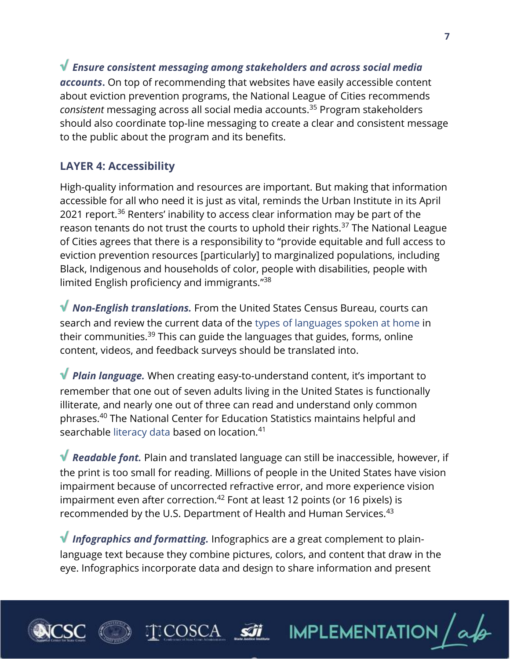**√** *Ensure consistent messaging among stakeholders and across social media accounts***.** On top of recommending that websites have easily accessible content about eviction prevention programs, the National League of Cities recommends *consistent* messaging across all social media accounts.<sup>35</sup> Program stakeholders should also coordinate top-line messaging to create a clear and consistent message to the public about the program and its benefits.

# **LAYER 4: Accessibility**

High-quality information and resources are important. But making that information accessible for all who need it is just as vital, reminds the Urban Institute in its April 2021 report.<sup>36</sup> Renters' inability to access clear information may be part of the reason tenants do not trust the courts to uphold their rights.<sup>37</sup> The National League of Cities agrees that there is a responsibility to "provide equitable and full access to eviction prevention resources [particularly] to marginalized populations, including Black, Indigenous and households of color, people with disabilities, people with limited English proficiency and immigrants." 38

**√** *Non-English translations.* From the United States Census Bureau, courts can search and review the current data of the [types of languages spoken at home](https://data.census.gov/cedsci/table?q=Types%20of%20Language%20Spoken%20at%20Home&tid=ACSST1Y2019.S1601) in their communities.<sup>39</sup> This can guide the languages that guides, forms, online content, videos, and feedback surveys should be translated into.

**√** *Plain language.* When creating easy-to-understand content, it's important to remember that one out of seven adults living in the United States is functionally illiterate, and nearly one out of three can read and understand only common phrases.<sup>40</sup> The National Center for Education Statistics maintains helpful and searchable [literacy data](https://nces.ed.gov/surveys/piaac/skillsmap/) based on location.<sup>41</sup>

**√** *Readable font.* Plain and translated language can still be inaccessible, however, if the print is too small for reading. Millions of people in the United States have vision impairment because of uncorrected refractive error, and more experience vision impairment even after correction.<sup>42</sup> Font at least 12 points (or 16 pixels) is recommended by the U.S. Department of Health and Human Services.<sup>43</sup>

**√** *Infographics and formatting.* Infographics are a great complement to plainlanguage text because they combine pictures, colors, and content that draw in the eye. Infographics incorporate data and design to share information and present

)SCA



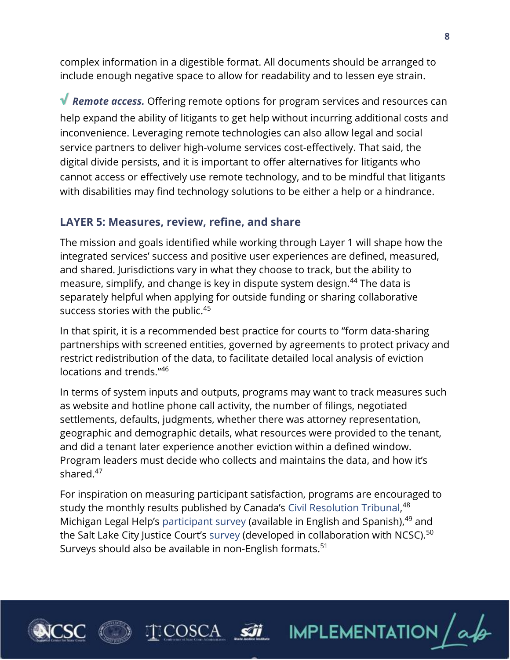complex information in a digestible format. All documents should be arranged to include enough negative space to allow for readability and to lessen eye strain.

**√** *Remote access.* Offering remote options for program services and resources can help expand the ability of litigants to get help without incurring additional costs and inconvenience. Leveraging remote technologies can also allow legal and social service partners to deliver high-volume services cost-effectively. That said, the digital divide persists, and it is important to offer alternatives for litigants who cannot access or effectively use remote technology, and to be mindful that litigants with disabilities may find technology solutions to be either a help or a hindrance.

#### **LAYER 5: Measures, review, refine, and share**

The mission and goals identified while working through Layer 1 will shape how the integrated services' success and positive user experiences are defined, measured, and shared. Jurisdictions vary in what they choose to track, but the ability to measure, simplify, and change is key in dispute system design.<sup>44</sup> The data is separately helpful when applying for outside funding or sharing collaborative success stories with the public.<sup>45</sup>

In that spirit, it is a recommended best practice for courts to "form data-sharing partnerships with screened entities, governed by agreements to protect privacy and restrict redistribution of the data, to facilitate detailed local analysis of eviction locations and trends." 46

In terms of system inputs and outputs, programs may want to track measures such as website and hotline phone call activity, the number of filings, negotiated settlements, defaults, judgments, whether there was attorney representation, geographic and demographic details, what resources were provided to the tenant, and did a tenant later experience another eviction within a defined window. Program leaders must decide who collects and maintains the data, and how it's shared.<sup>47</sup>

For inspiration on measuring participant satisfaction, programs are encouraged to study the monthly results published by Canada's [Civil Resolution Tribunal,](https://civilresolutionbc.ca/blog/)<sup>48</sup> Michigan Legal Help's [participant survey](https://michiganlegalhelp.org/please-tell-us-what-you-think) (available in English and Spanish),<sup>49</sup> and the Salt Lake City Justice Court's [survey](https://www.slc.gov/courts/2019/05/13/justice-court-survey/) (developed in collaboration with NCSC).<sup>50</sup> Surveys should also be available in non-English formats.<sup>51</sup>



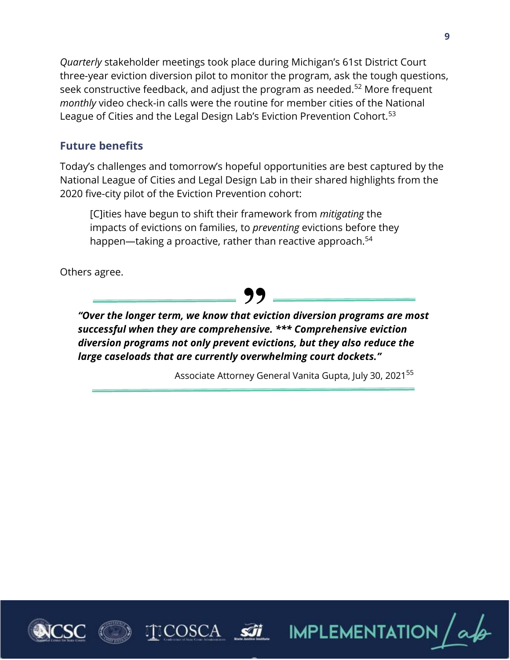*Quarterly* stakeholder meetings took place during Michigan's 61st District Court three-year eviction diversion pilot to monitor the program, ask the tough questions, seek constructive feedback, and adjust the program as needed.<sup>52</sup> More frequent *monthly* video check-in calls were the routine for member cities of the National League of Cities and the Legal Design Lab's Eviction Prevention Cohort.<sup>53</sup>

## **Future benefits**

Today's challenges and tomorrow's hopeful opportunities are best captured by the National League of Cities and Legal Design Lab in their shared highlights from the 2020 five-city pilot of the Eviction Prevention cohort:

[C]ities have begun to shift their framework from *mitigating* the impacts of evictions on families, to *preventing* evictions before they happen—taking a proactive, rather than reactive approach.<sup>54</sup>

Others agree.

**99**<br>at evi<br>posive *"Over the longer term, we know that eviction diversion programs are most successful when they are comprehensive. \*\*\* Comprehensive eviction diversion programs not only prevent evictions, but they also reduce the large caseloads that are currently overwhelming court dockets."*

Associate Attorney General Vanita Gupta, July 30, 2021<sup>55</sup>





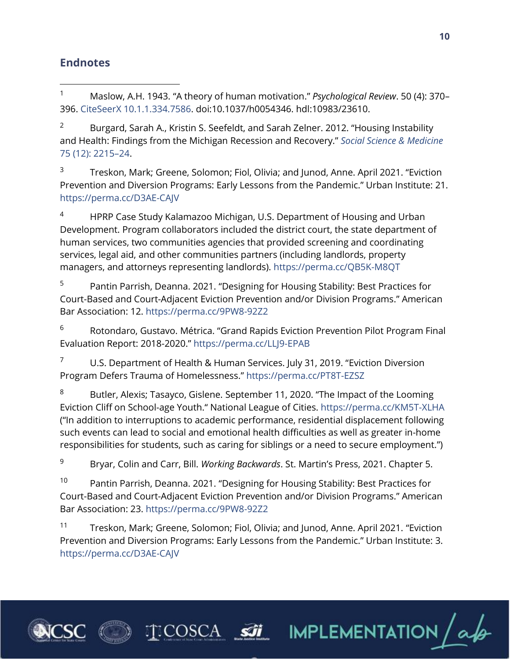## **Endnotes**

<sup>1</sup> Maslow, A.H. 1943. "A theory of human motivation." *Psychological Review*. 50 (4): 370– 396. [CiteSeerX 10.1.1.334.7586.](https://perma.cc/8AWY-CJG5) doi:10.1037/h0054346. hdl:10983/23610.

<sup>2</sup> Burgard, Sarah A., Kristin S. Seefeldt, and Sarah Zelner. 2012. "Housing Instability and Health: Findings from the Michigan Recession and Recovery." *[Social Science & Medicine](https://www.sciencedirect.com/science/article/abs/pii/S0277953612006272?via%3Dihub)* [75 \(12\): 2215](https://www.sciencedirect.com/science/article/abs/pii/S0277953612006272?via%3Dihub)–24.

<sup>3</sup> Treskon, Mark; Greene, Solomon; Fiol, Olivia; and Junod, Anne. April 2021. "Eviction Prevention and Diversion Programs: Early Lessons from the Pandemic." Urban Institute: 21. <https://perma.cc/D3AE-CAJV>

<sup>4</sup> HPRP Case Study Kalamazoo Michigan, U.S. Department of Housing and Urban Development. Program collaborators included the district court, the state department of human services, two communities agencies that provided screening and coordinating services, legal aid, and other communities partners (including landlords, property managers, and attorneys representing landlords).<https://perma.cc/QB5K-M8QT>

<sup>5</sup> Pantin Parrish, Deanna. 2021. "Designing for Housing Stability: Best Practices for Court-Based and Court-Adjacent Eviction Prevention and/or Division Programs." American Bar Association: 12.<https://perma.cc/9PW8-92Z2>

<sup>6</sup> Rotondaro, Gustavo. Métrica. "Grand Rapids Eviction Prevention Pilot Program Final Evaluation Report: 2018-2020." <https://perma.cc/LLJ9-EPAB>

<sup>7</sup> U.S. Department of Health & Human Services. July 31, 2019. "Eviction Diversion Program Defers Trauma of Homelessness." <https://perma.cc/PT8T-EZSZ>

<sup>8</sup> Butler, Alexis; Tasayco, Gislene. September 11, 2020. "The Impact of the Looming Eviction Cliff on School-age Youth." National League of Cities. <https://perma.cc/KM5T-XLHA> ("In addition to interruptions to academic performance, residential displacement following such events can lead to social and emotional health difficulties as well as greater in-home responsibilities for students, such as caring for siblings or a need to secure employment.")

<sup>9</sup> Bryar, Colin and Carr, Bill. *Working Backwards*. St. Martin's Press, 2021. Chapter 5.

<sup>10</sup> Pantin Parrish, Deanna. 2021. "Designing for Housing Stability: Best Practices for Court-Based and Court-Adjacent Eviction Prevention and/or Division Programs." American Bar Association: 23.<https://perma.cc/9PW8-92Z2>

<sup>11</sup> Treskon, Mark; Greene, Solomon; Fiol, Olivia; and Junod, Anne. April 2021. "Eviction Prevention and Diversion Programs: Early Lessons from the Pandemic." Urban Institute: 3. <https://perma.cc/D3AE-CAJV>

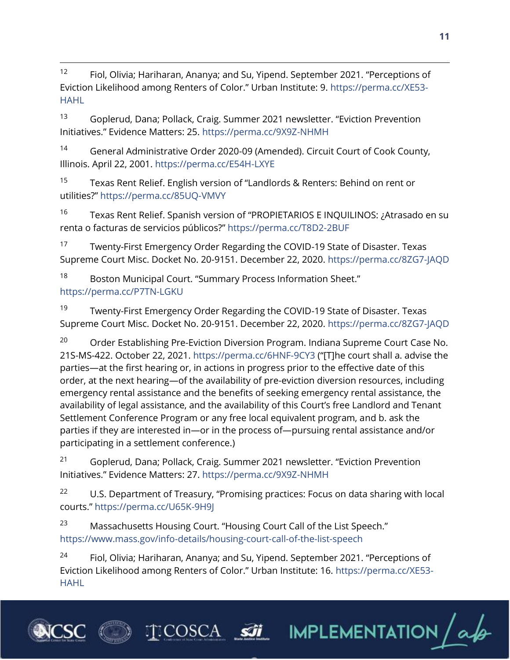$12$  Fiol, Olivia; Hariharan, Ananya; and Su, Yipend. September 2021. "Perceptions of Eviction Likelihood among Renters of Color." Urban Institute: 9. [https://perma.cc/XE53-](https://perma.cc/XE53-HAHL) [HAHL](https://perma.cc/XE53-HAHL)

<sup>13</sup> Goplerud, Dana; Pollack, Craig. Summer 2021 newsletter. "Eviction Prevention Initiatives." Evidence Matters: 25. <https://perma.cc/9X9Z-NHMH>

<sup>14</sup> General Administrative Order 2020-09 (Amended). Circuit Court of Cook County, Illinois. April 22, 2001.<https://perma.cc/E54H-LXYE>

<sup>15</sup> Texas Rent Relief. English version of "Landlords & Renters: Behind on rent or utilities?" <https://perma.cc/85UQ-VMVY>

<sup>16</sup> Texas Rent Relief. Spanish version of "PROPIETARIOS E INQUILINOS: ¿Atrasado en su renta o facturas de servicios públicos?" <https://perma.cc/T8D2-2BUF>

<sup>17</sup> Twenty-First Emergency Order Regarding the COVID-19 State of Disaster. Texas Supreme Court Misc. Docket No. 20-9151. December 22, 2020.<https://perma.cc/8ZG7-JAQD>

18 Boston Municipal Court. "Summary Process Information Sheet." <https://perma.cc/P7TN-LGKU>

<sup>19</sup> Twenty-First Emergency Order Regarding the COVID-19 State of Disaster. Texas Supreme Court Misc. Docket No. 20-9151. December 22, 2020.<https://perma.cc/8ZG7-JAQD>

<sup>20</sup> Order Establishing Pre-Eviction Diversion Program. Indiana Supreme Court Case No. 21S-MS-422. October 22, 2021.<https://perma.cc/6HNF-9CY3> ("[T]he court shall a. advise the parties—at the first hearing or, in actions in progress prior to the effective date of this order, at the next hearing—of the availability of pre-eviction diversion resources, including emergency rental assistance and the benefits of seeking emergency rental assistance, the availability of legal assistance, and the availability of this Court's free Landlord and Tenant Settlement Conference Program or any free local equivalent program, and b. ask the parties if they are interested in—or in the process of—pursuing rental assistance and/or participating in a settlement conference.)

<sup>21</sup> Goplerud, Dana; Pollack, Craig. Summer 2021 newsletter. "Eviction Prevention Initiatives." Evidence Matters: 27.<https://perma.cc/9X9Z-NHMH>

<sup>22</sup> U.S. Department of Treasury, "Promising practices: Focus on data sharing with local courts." <https://perma.cc/U65K-9H9J>

<sup>23</sup> Massachusetts Housing Court. "Housing Court Call of the List Speech." <https://www.mass.gov/info-details/housing-court-call-of-the-list-speech>

 $24$  Fiol, Olivia; Hariharan, Ananya; and Su, Yipend. September 2021. "Perceptions of Eviction Likelihood among Renters of Color." Urban Institute: 16. [https://perma.cc/XE53-](https://perma.cc/XE53-HAHL) [HAHL](https://perma.cc/XE53-HAHL)



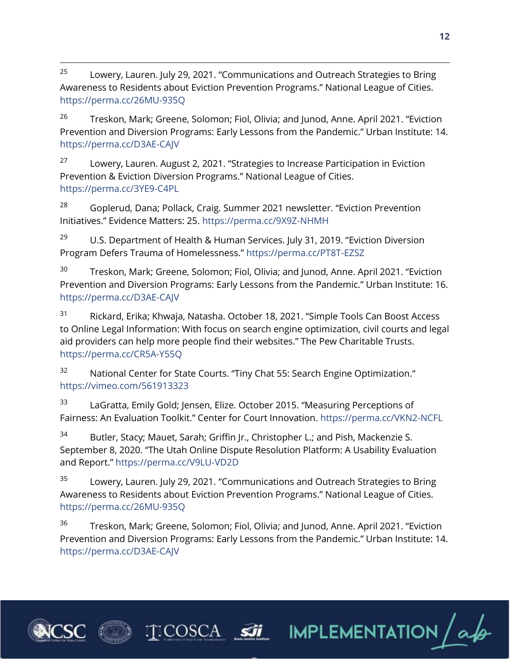<sup>25</sup> Lowery, Lauren. July 29, 2021. "Communications and Outreach Strategies to Bring Awareness to Residents about Eviction Prevention Programs." National League of Cities. <https://perma.cc/26MU-935Q>

<sup>26</sup> Treskon, Mark; Greene, Solomon; Fiol, Olivia; and Junod, Anne. April 2021. "Eviction Prevention and Diversion Programs: Early Lessons from the Pandemic." Urban Institute: 14. <https://perma.cc/D3AE-CAJV>

<sup>27</sup> Lowery, Lauren. August 2, 2021. "Strategies to Increase Participation in Eviction Prevention & Eviction Diversion Programs." National League of Cities. <https://perma.cc/3YE9-C4PL>

 $28$  Goplerud, Dana; Pollack, Craig. Summer 2021 newsletter. "Eviction Prevention Initiatives." Evidence Matters: 25. <https://perma.cc/9X9Z-NHMH>

<sup>29</sup> U.S. Department of Health & Human Services. July 31, 2019. "Eviction Diversion Program Defers Trauma of Homelessness." <https://perma.cc/PT8T-EZSZ>

<sup>30</sup> Treskon, Mark; Greene, Solomon; Fiol, Olivia; and Junod, Anne. April 2021. "Eviction Prevention and Diversion Programs: Early Lessons from the Pandemic." Urban Institute: 16. <https://perma.cc/D3AE-CAJV>

<sup>31</sup> Rickard, Erika; Khwaja, Natasha. October 18, 2021. "Simple Tools Can Boost Access to Online Legal Information: With focus on search engine optimization, civil courts and legal aid providers can help more people find their websites." The Pew Charitable Trusts. <https://perma.cc/CR5A-Y55Q>

<sup>32</sup> National Center for State Courts. "Tiny Chat 55: Search Engine Optimization." <https://vimeo.com/561913323>

<sup>33</sup> LaGratta, Emily Gold; Jensen, Elize. October 2015. "Measuring Perceptions of Fairness: An Evaluation Toolkit." Center for Court Innovation. <https://perma.cc/VKN2-NCFL>

<sup>34</sup> Butler, Stacy; Mauet, Sarah; Griffin Jr., Christopher L.; and Pish, Mackenzie S. September 8, 2020. "The Utah Online Dispute Resolution Platform: A Usability Evaluation and Report." <https://perma.cc/V9LU-VD2D>

 $35$  Lowery, Lauren. July 29, 2021. "Communications and Outreach Strategies to Bring Awareness to Residents about Eviction Prevention Programs." National League of Cities. <https://perma.cc/26MU-935Q>

<sup>36</sup> Treskon, Mark; Greene, Solomon; Fiol, Olivia; and Junod, Anne. April 2021. "Eviction Prevention and Diversion Programs: Early Lessons from the Pandemic." Urban Institute: 14. <https://perma.cc/D3AE-CAJV>



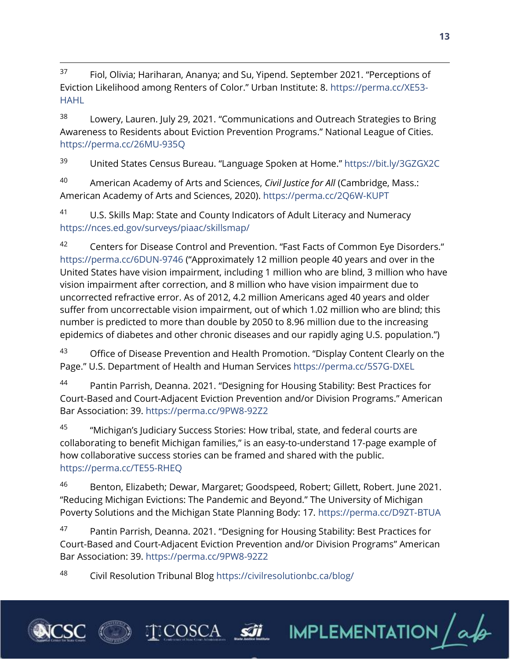$37$  Fiol, Olivia; Hariharan, Ananya; and Su, Yipend. September 2021. "Perceptions of Eviction Likelihood among Renters of Color." Urban Institute: 8. [https://perma.cc/XE53-](https://perma.cc/XE53-HAHL) [HAHL](https://perma.cc/XE53-HAHL)

<sup>38</sup> Lowery, Lauren. July 29, 2021. "Communications and Outreach Strategies to Bring Awareness to Residents about Eviction Prevention Programs." National League of Cities. <https://perma.cc/26MU-935Q>

<sup>39</sup> United States Census Bureau. "Language Spoken at Home." <https://bit.ly/3GZGX2C>

<sup>40</sup> American Academy of Arts and Sciences, *Civil Justice for All* (Cambridge, Mass.: American Academy of Arts and Sciences, 2020).<https://perma.cc/2Q6W-KUPT>

41 U.S. Skills Map: State and County Indicators of Adult Literacy and Numeracy <https://nces.ed.gov/surveys/piaac/skillsmap/>

42 Centers for Disease Control and Prevention. "Fast Facts of Common Eye Disorders." <https://perma.cc/6DUN-9746> ("Approximately 12 million people 40 years and over in the United States have vision impairment, including 1 million who are blind, 3 million who have vision impairment after correction, and 8 million who have vision impairment due to uncorrected refractive error. As of 2012, 4.2 million Americans aged 40 years and older suffer from uncorrectable vision impairment, out of which 1.02 million who are blind; this number is predicted to more than double by 2050 to 8.96 million due to the increasing epidemics of diabetes and other chronic diseases and our rapidly aging U.S. population.")

<sup>43</sup> Office of Disease Prevention and Health Promotion. "Display Content Clearly on the Page." U.S. Department of Health and Human Services <https://perma.cc/5S7G-DXEL>

44 Pantin Parrish, Deanna. 2021. "Designing for Housing Stability: Best Practices for Court-Based and Court-Adjacent Eviction Prevention and/or Division Programs." American Bar Association: 39.<https://perma.cc/9PW8-92Z2>

45 "Michigan's Judiciary Success Stories: How tribal, state, and federal courts are collaborating to benefit Michigan families," is an easy-to-understand 17-page example of how collaborative success stories can be framed and shared with the public. <https://perma.cc/TE55-RHEQ>

<sup>46</sup> Benton, Elizabeth; Dewar, Margaret; Goodspeed, Robert; Gillett, Robert. June 2021. "Reducing Michigan Evictions: The Pandemic and Beyond." The University of Michigan Poverty Solutions and the Michigan State Planning Body: 17.<https://perma.cc/D9ZT-BTUA>

47 Pantin Parrish, Deanna. 2021. "Designing for Housing Stability: Best Practices for Court-Based and Court-Adjacent Eviction Prevention and/or Division Programs" American Bar Association: 39.<https://perma.cc/9PW8-92Z2>

**TEOSCA SI IMPLEMENTATION** a

<sup>48</sup> Civil Resolution Tribunal Blog<https://civilresolutionbc.ca/blog/>